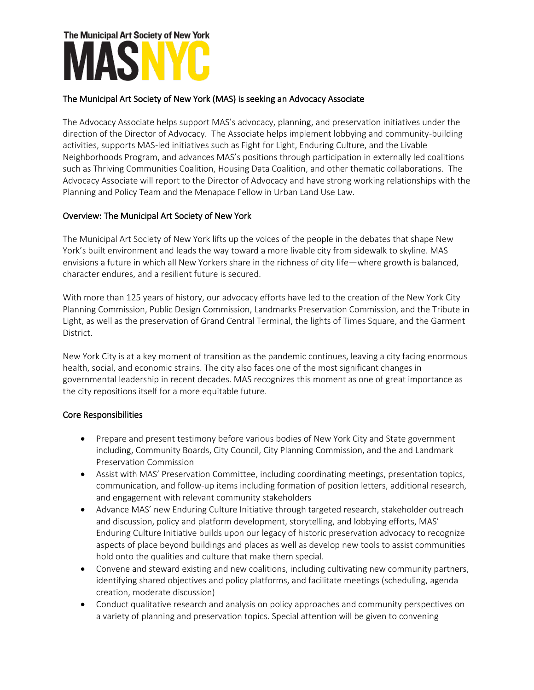# The Municipal Art Society of New York

### The Municipal Art Society of New York (MAS) is seeking an Advocacy Associate

The Advocacy Associate helps support MAS's advocacy, planning, and preservation initiatives under the direction of the Director of Advocacy. The Associate helps implement lobbying and community-building activities, supports MAS-led initiatives such as Fight for Light, Enduring Culture, and the Livable Neighborhoods Program, and advances MAS's positions through participation in externally led coalitions such as Thriving Communities Coalition, Housing Data Coalition, and other thematic collaborations. The Advocacy Associate will report to the Director of Advocacy and have strong working relationships with the Planning and Policy Team and the Menapace Fellow in Urban Land Use Law.

### Overview: The Municipal Art Society of New York

The Municipal Art Society of New York lifts up the voices of the people in the debates that shape New York's built environment and leads the way toward a more livable city from sidewalk to skyline. MAS envisions a future in which all New Yorkers share in the richness of city life—where growth is balanced, character endures, and a resilient future is secured.

With more than 125 years of history, our advocacy efforts have led to the creation of the New York City Planning Commission, Public Design Commission, Landmarks Preservation Commission, and the Tribute in Light, as well as the preservation of Grand Central Terminal, the lights of Times Square, and the Garment District.

New York City is at a key moment of transition as the pandemic continues, leaving a city facing enormous health, social, and economic strains. The city also faces one of the most significant changes in governmental leadership in recent decades. MAS recognizes this moment as one of great importance as the city repositions itself for a more equitable future.

### Core Responsibilities

- Prepare and present testimony before various bodies of New York City and State government including, Community Boards, City Council, City Planning Commission, and the and Landmark Preservation Commission
- Assist with MAS' Preservation Committee, including coordinating meetings, presentation topics, communication, and follow-up items including formation of position letters, additional research, and engagement with relevant community stakeholders
- Advance MAS' new Enduring Culture Initiative through targeted research, stakeholder outreach and discussion, policy and platform development, storytelling, and lobbying efforts, MAS' Enduring Culture Initiative builds upon our legacy of historic preservation advocacy to recognize aspects of place beyond buildings and places as well as develop new tools to assist communities hold onto the qualities and culture that make them special.
- Convene and steward existing and new coalitions, including cultivating new community partners, identifying shared objectives and policy platforms, and facilitate meetings (scheduling, agenda creation, moderate discussion)
- Conduct qualitative research and analysis on policy approaches and community perspectives on a variety of planning and preservation topics. Special attention will be given to convening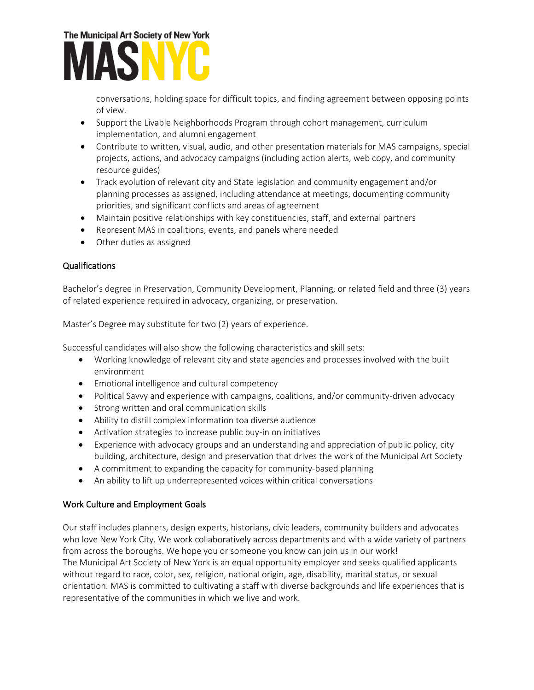## The Municipal Art Society of New York

conversations, holding space for difficult topics, and finding agreement between opposing points of view.

- Support the Livable Neighborhoods Program through cohort management, curriculum implementation, and alumni engagement
- Contribute to written, visual, audio, and other presentation materials for MAS campaigns, special projects, actions, and advocacy campaigns (including action alerts, web copy, and community resource guides)
- Track evolution of relevant city and State legislation and community engagement and/or planning processes as assigned, including attendance at meetings, documenting community priorities, and significant conflicts and areas of agreement
- Maintain positive relationships with key constituencies, staff, and external partners
- Represent MAS in coalitions, events, and panels where needed
- Other duties as assigned

## Qualifications

Bachelor's degree in Preservation, Community Development, Planning, or related field and three (3) years of related experience required in advocacy, organizing, or preservation.

Master's Degree may substitute for two (2) years of experience.

Successful candidates will also show the following characteristics and skill sets:

- Working knowledge of relevant city and state agencies and processes involved with the built environment
- Emotional intelligence and cultural competency
- Political Savvy and experience with campaigns, coalitions, and/or community-driven advocacy
- Strong written and oral communication skills
- Ability to distill complex information toa diverse audience
- Activation strategies to increase public buy-in on initiatives
- Experience with advocacy groups and an understanding and appreciation of public policy, city building, architecture, design and preservation that drives the work of the Municipal Art Society
- A commitment to expanding the capacity for community-based planning
- An ability to lift up underrepresented voices within critical conversations

### Work Culture and Employment Goals

Our staff includes planners, design experts, historians, civic leaders, community builders and advocates who love New York City. We work collaboratively across departments and with a wide variety of partners from across the boroughs. We hope you or someone you know can join us in our work! The Municipal Art Society of New York is an equal opportunity employer and seeks qualified applicants without regard to race, color, sex, religion, national origin, age, disability, marital status, or sexual orientation. MAS is committed to cultivating a staff with diverse backgrounds and life experiences that is representative of the communities in which we live and work.